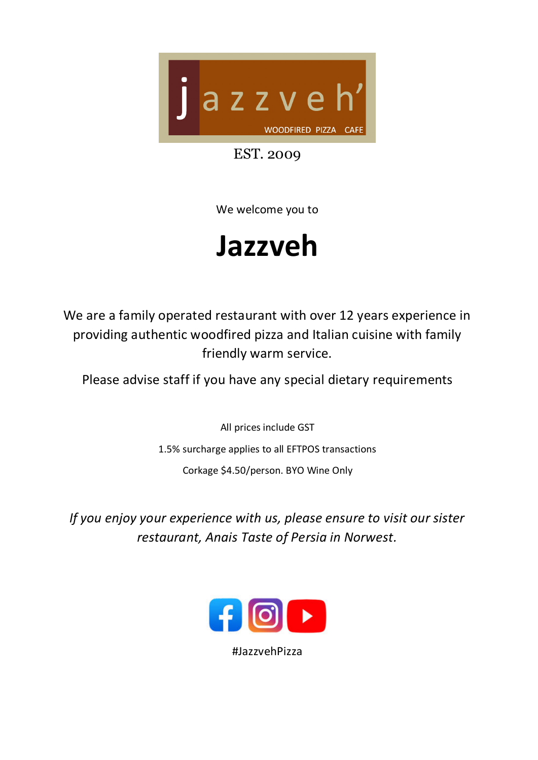

EST. 2009

We welcome you to

## **Jazzveh**

We are a family operated restaurant with over 12 years experience in providing authentic woodfired pizza and Italian cuisine with family friendly warm service.

Please advise staff if you have any special dietary requirements

All prices include GST 1.5% surcharge applies to all EFTPOS transactions Corkage \$4.50/person. BYO Wine Only

*If you enjoy your experience with us, please ensure to visit our sister restaurant, Anais Taste of Persia in Norwest.* 



#JazzvehPizza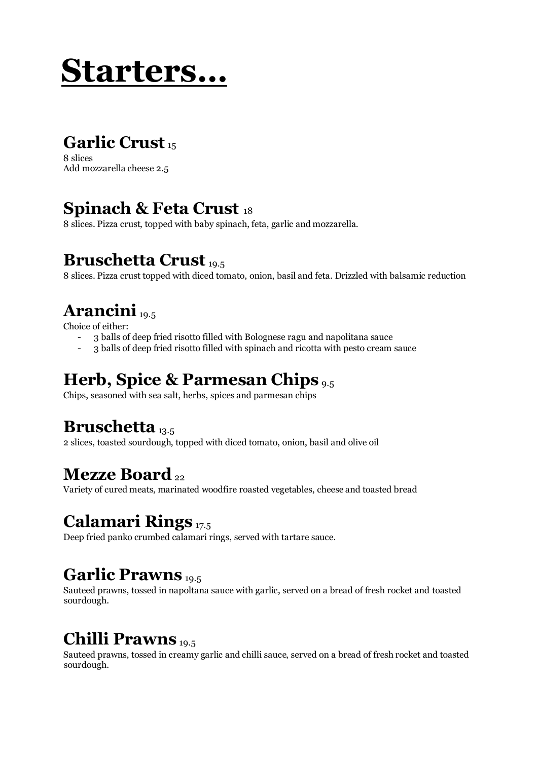## **Starters…**

### **Garlic Crust** <sup>15</sup>

8 slices Add mozzarella cheese 2.5

### **Spinach & Feta Crust** <sup>18</sup>

8 slices. Pizza crust, topped with baby spinach, feta, garlic and mozzarella.

### **Bruschetta Crust** 19.5

8 slices. Pizza crust topped with diced tomato, onion, basil and feta. Drizzled with balsamic reduction

### **Arancini** 19.5

Choice of either:

- 3 balls of deep fried risotto filled with Bolognese ragu and napolitana sauce
- 3 balls of deep fried risotto filled with spinach and ricotta with pesto cream sauce

### **Herb, Spice & Parmesan Chips** 9.5

Chips, seasoned with sea salt, herbs, spices and parmesan chips

### **Bruschetta** 13.5

2 slices, toasted sourdough, topped with diced tomato, onion, basil and olive oil

### **Mezze Board**<sub>22</sub>

Variety of cured meats, marinated woodfire roasted vegetables, cheese and toasted bread

### **Calamari Rings** 17.5

Deep fried panko crumbed calamari rings, served with tartare sauce.

### **Garlic Prawns** 19.5

Sauteed prawns, tossed in napoltana sauce with garlic, served on a bread of fresh rocket and toasted sourdough.

### **Chilli Prawns** 19.5

Sauteed prawns, tossed in creamy garlic and chilli sauce, served on a bread of fresh rocket and toasted sourdough.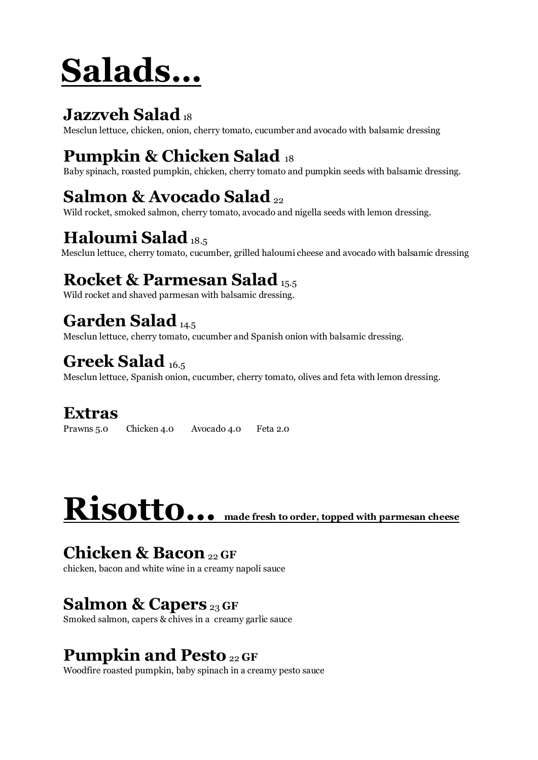# **Salads…**

### **Jazzveh Salad**<sub>18</sub>

Mesclun lettuce, chicken, onion, cherry tomato, cucumber and avocado with balsamic dressing

### **Pumpkin & Chicken Salad** <sup>18</sup>

Baby spinach, roasted pumpkin, chicken, cherry tomato and pumpkin seeds with balsamic dressing.

### **Salmon & Avocado Salad** <sup>22</sup>

Wild rocket, smoked salmon, cherry tomato, avocado and nigella seeds with lemon dressing.

### **Haloumi Salad**<sub>18.5</sub>

Mesclun lettuce, cherry tomato, cucumber, grilled haloumi cheese and avocado with balsamic dressing

### **Rocket & Parmesan Salad** 15.5

Wild rocket and shaved parmesan with balsamic dressing.

### Garden Salad<sub>14.5</sub>

Mesclun lettuce, cherry tomato, cucumber and Spanish onion with balsamic dressing.

### **Greek Salad** 16.5

Mesclun lettuce, Spanish onion, cucumber, cherry tomato, olives and feta with lemon dressing.

### **Extras**

Prawns 5.0 Chicken 4.0 Avocado 4.0 Feta 2.0

# **Risotto… made fresh to order, topped with parmesan cheese**

### **Chicken & Bacon**22 **GF**

chicken, bacon and white wine in a creamy napoli sauce

### **Salmon & Capers** <sup>23</sup>**GF**

Smoked salmon, capers & chives in a creamy garlic sauce

### **Pumpkin and Pesto** <sup>22</sup>**GF**

Woodfire roasted pumpkin, baby spinach in a creamy pesto sauce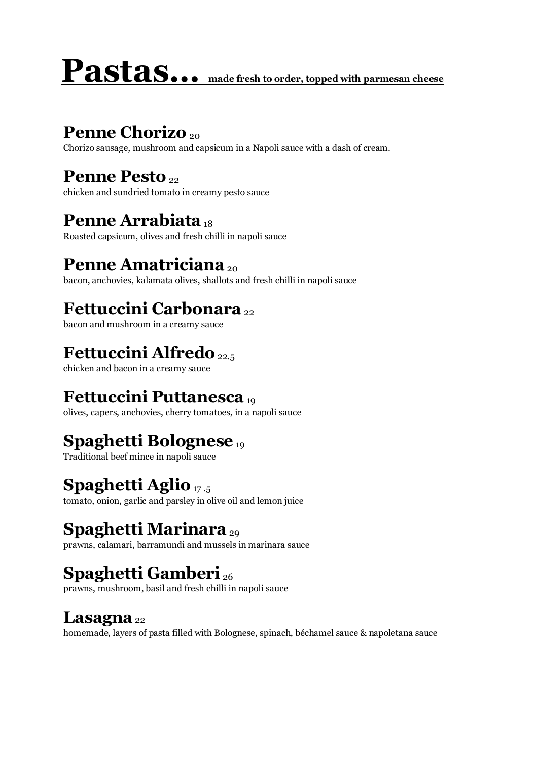# **Pastas… made fresh to order, topped with parmesan cheese**

### **Penne Chorizo** 20

Chorizo sausage, mushroom and capsicum in a Napoli sauce with a dash of cream.

### **Penne Pesto** 22

chicken and sundried tomato in creamy pesto sauce

### **Penne Arrabiata** <sup>18</sup>

Roasted capsicum, olives and fresh chilli in napoli sauce

### **Penne Amatriciana** <sub>20</sub>

bacon, anchovies, kalamata olives, shallots and fresh chilli in napoli sauce

### **Fettuccini Carbonara** <sup>22</sup>

bacon and mushroom in a creamy sauce

### **Fettuccini Alfredo**22.5

chicken and bacon in a creamy sauce

### **Fettuccini Puttanesca** <sup>19</sup>

olives, capers, anchovies, cherry tomatoes, in a napoli sauce

### **Spaghetti Bolognese** <sup>19</sup>

Traditional beef mince in napoli sauce

### **Spaghetti Aglio**<sub>17.5</sub>

tomato, onion, garlic and parsley in olive oil and lemon juice

### **Spaghetti Marinara** <sub>29</sub>

prawns, calamari, barramundi and mussels in marinara sauce

### **Spaghetti Gamberi** <sup>26</sup>

prawns, mushroom, basil and fresh chilli in napoli sauce

### Lasagna<sup>22</sup>

homemade, layers of pasta filled with Bolognese, spinach, béchamel sauce & napoletana sauce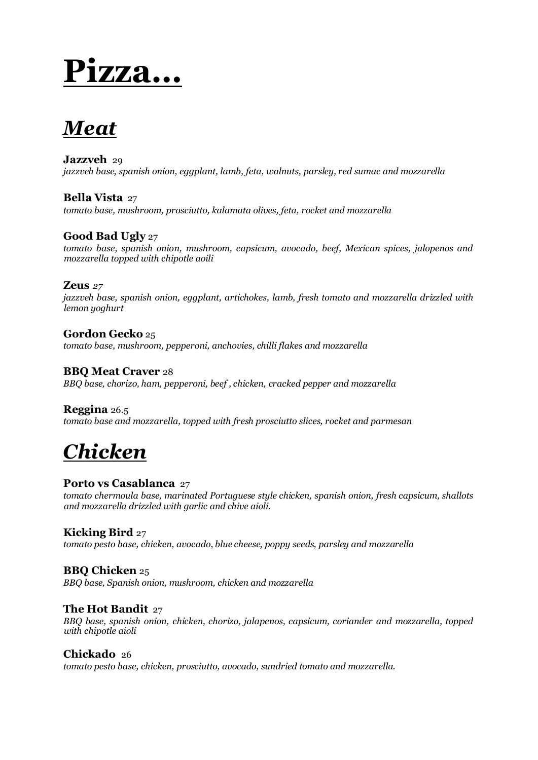## **Pizza…**

### *Meat*

#### **Jazzveh** 29

*jazzveh base, spanish onion, eggplant, lamb, feta, walnuts, parsley, red sumac and mozzarella*

#### **Bella Vista** 27

*tomato base, mushroom, prosciutto, kalamata olives, feta, rocket and mozzarella*

#### **Good Bad Ugly** 27

*tomato base, spanish onion, mushroom, capsicum, avocado, beef, Mexican spices, jalopenos and mozzarella topped with chipotle aoili* 

#### **Zeus** *27*

*jazzveh base, spanish onion, eggplant, artichokes, lamb, fresh tomato and mozzarella drizzled with lemon yoghurt*

**Gordon Gecko** 25 *tomato base, mushroom, pepperoni, anchovies, chilli flakes and mozzarella*

#### **BBQ Meat Craver** 28

*BBQ base, chorizo, ham, pepperoni, beef , chicken, cracked pepper and mozzarella* 

#### **Reggina** 26.5

*tomato base and mozzarella, topped with fresh prosciutto slices, rocket and parmesan* 

### *Chicken*

#### **Porto vs Casablanca** 27

*tomato chermoula base, marinated Portuguese style chicken, spanish onion, fresh capsicum, shallots and mozzarella drizzled with garlic and chive aioli.* 

#### **Kicking Bird** 27

*tomato pesto base, chicken, avocado, blue cheese, poppy seeds, parsley and mozzarella*

#### **BBQ Chicken** 25

*BBQ base, Spanish onion, mushroom, chicken and mozzarella* 

#### **The Hot Bandit** 27

*BBQ base, spanish onion, chicken, chorizo, jalapenos, capsicum, coriander and mozzarella, topped with chipotle aioli* 

#### **Chickado** 26

*tomato pesto base, chicken, prosciutto, avocado, sundried tomato and mozzarella.*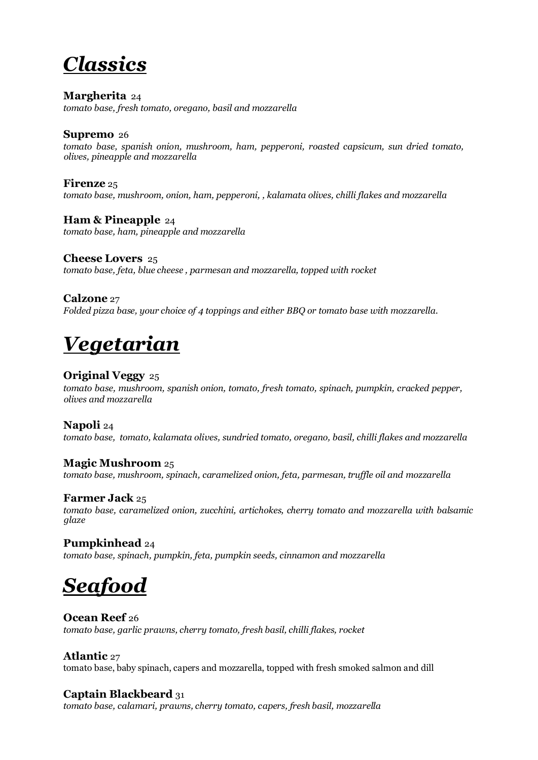### *Classics*

**Margherita** 24

*tomato base, fresh tomato, oregano, basil and mozzarella*

#### **Supremo** 26

*tomato base, spanish onion, mushroom, ham, pepperoni, roasted capsicum, sun dried tomato, olives, pineapple and mozzarella*

#### **Firenze** 25

*tomato base, mushroom, onion, ham, pepperoni, , kalamata olives, chilli flakes and mozzarella*

**Ham & Pineapple** 24 *tomato base, ham, pineapple and mozzarella* 

#### **Cheese Lovers** 25

*tomato base, feta, blue cheese , parmesan and mozzarella, topped with rocket* 

#### **Calzone** 27

*Folded pizza base, your choice of 4 toppings and either BBQ or tomato base with mozzarella.*

### *Vegetarian*

#### **Original Veggy** 25

*tomato base, mushroom, spanish onion, tomato, fresh tomato, spinach, pumpkin, cracked pepper, olives and mozzarella*

#### **Napoli** 24

*tomato base, tomato, kalamata olives, sundried tomato, oregano, basil, chilli flakes and mozzarella*

#### **Magic Mushroom** 25

*tomato base, mushroom, spinach, caramelized onion, feta, parmesan, truffle oil and mozzarella* 

#### **Farmer Jack** 25

*tomato base, caramelized onion, zucchini, artichokes, cherry tomato and mozzarella with balsamic glaze* 

#### **Pumpkinhead** 24

*tomato base, spinach, pumpkin, feta, pumpkin seeds, cinnamon and mozzarella* 

### *Seafood*

#### **Ocean Reef** 26

*tomato base, garlic prawns, cherry tomato, fresh basil, chilli flakes, rocket* 

#### **Atlantic** 27

tomato base, baby spinach, capers and mozzarella, topped with fresh smoked salmon and dill

#### **Captain Blackbeard** 31

*tomato base, calamari, prawns, cherry tomato, capers, fresh basil, mozzarella*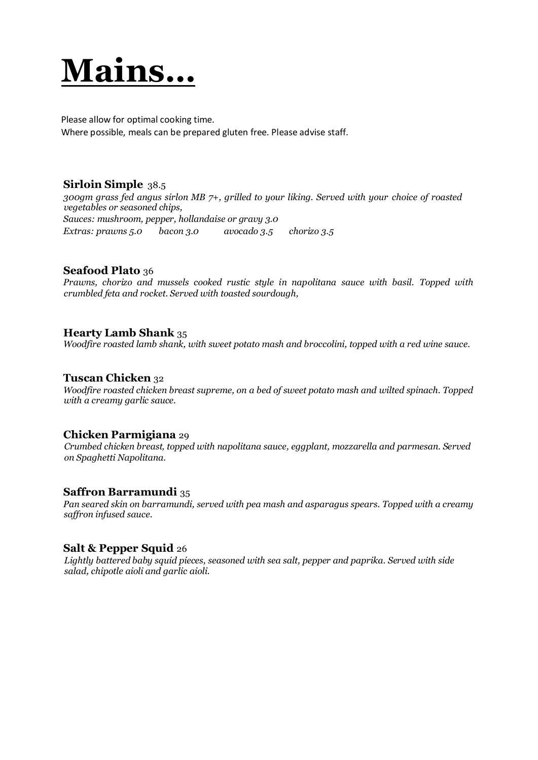## **Mains…**

Please allow for optimal cooking time. Where possible, meals can be prepared gluten free. Please advise staff.

#### **Sirloin Simple** 38.5

*300gm grass fed angus sirlon MB 7+, grilled to your liking. Served with your choice of roasted vegetables or seasoned chips, Sauces: mushroom, pepper, hollandaise or gravy 3.0 Extras: prawns 5.0 bacon 3.0 avocado 3.5 chorizo 3.5*

#### **Seafood Plato** 36

*Prawns, chorizo and mussels cooked rustic style in napolitana sauce with basil. Topped with crumbled feta and rocket. Served with toasted sourdough,*

#### **Hearty Lamb Shank** 35

*Woodfire roasted lamb shank, with sweet potato mash and broccolini, topped with a red wine sauce.* 

#### **Tuscan Chicken** 32

*Woodfire roasted chicken breast supreme, on a bed of sweet potato mash and wilted spinach. Topped with a creamy garlic sauce.* 

#### **Chicken Parmigiana** 29

*Crumbed chicken breast, topped with napolitana sauce, eggplant, mozzarella and parmesan. Served on Spaghetti Napolitana.* 

#### **Saffron Barramundi** 35

*Pan seared skin on barramundi, served with pea mash and asparagus spears. Topped with a creamy saffron infused sauce.* 

#### **Salt & Pepper Squid** 26

*Lightly battered baby squid pieces, seasoned with sea salt, pepper and paprika. Served with side salad, chipotle aioli and garlic aioli.*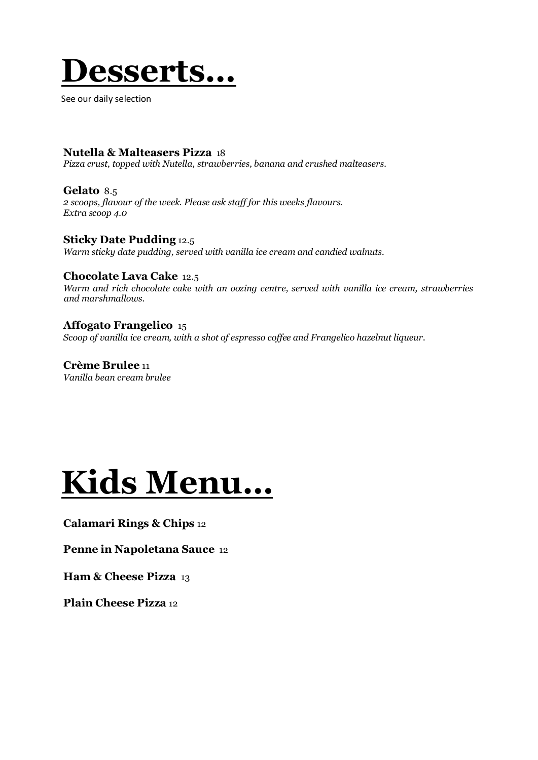

See our daily selection

#### **Nutella & Malteasers Pizza** 18

*Pizza crust, topped with Nutella, strawberries, banana and crushed malteasers.* 

**Gelato** 8.5 *2 scoops, flavour of the week. Please ask staff for this weeks flavours. Extra scoop 4.0*

**Sticky Date Pudding** 12.5 *Warm sticky date pudding, served with vanilla ice cream and candied walnuts.*

#### **Chocolate Lava Cake** 12.5

*Warm and rich chocolate cake with an oozing centre, served with vanilla ice cream, strawberries and marshmallows.*

**Affogato Frangelico** 15 *Scoop of vanilla ice cream, with a shot of espresso coffee and Frangelico hazelnut liqueur.* 

**Crème Brulee** 11 *Vanilla bean cream brulee*

## **Kids Menu…**

#### **Calamari Rings & Chips** 12

**Penne in Napoletana Sauce** 12

**Ham & Cheese Pizza** 13

**Plain Cheese Pizza** 12